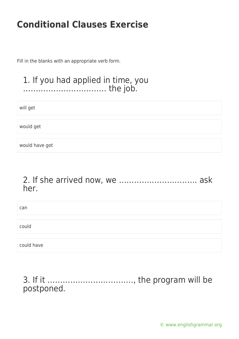Fill in the blanks with an appropriate verb form.

#### 1. If you had applied in time, you …………………………… the job.

will get

would get

would have got

#### 2. If she arrived now, we …………………………. ask her.

| can        |  |
|------------|--|
| could      |  |
| could have |  |

### 3. If it ……………………………., the program will be postponed.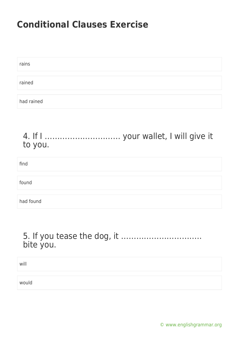| rains      |  |  |  |
|------------|--|--|--|
|            |  |  |  |
| rained     |  |  |  |
|            |  |  |  |
| had rained |  |  |  |

#### 4. If I ………………………… your wallet, I will give it to you.

| find      |  |  |
|-----------|--|--|
|           |  |  |
| found     |  |  |
|           |  |  |
| had found |  |  |

### 5. If you tease the dog, it ………………………….. bite you.

| will  |  |
|-------|--|
|       |  |
| would |  |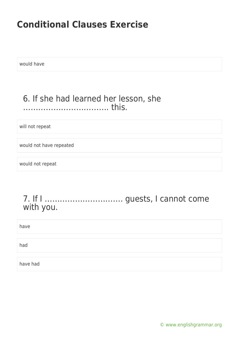would have

### 6. If she had learned her lesson, she ……………………………. this.

will not repeat

would not have repeated

would not repeat

### 7. If I …………………………. guests, I cannot come with you.

| have     |  |
|----------|--|
|          |  |
| had      |  |
|          |  |
| have had |  |

[© www.englishgrammar.org](https://www.englishgrammar.org/)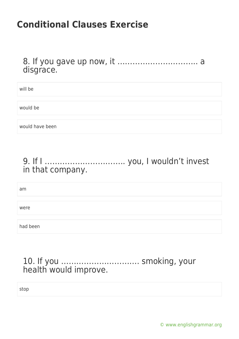8. If you gave up now, it ………………………….. a disgrace.

will be

would be

would have been

### 9. If I ………………………….. you, I wouldn't invest in that company.

am

were

had been

### 10. If you …………………………. smoking, your health would improve.

stop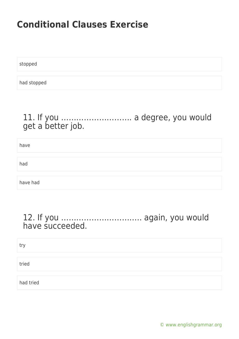stopped

had stopped

### 11. If you ………………………. a degree, you would get a better job.

have

had

have had

#### 12. If you ………………………….. again, you would have succeeded.

try

tried

had tried